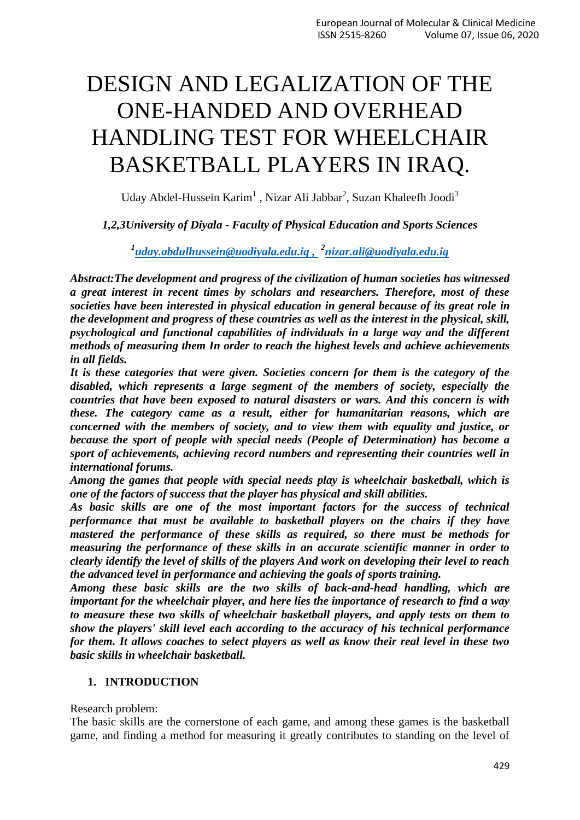# DESIGN AND LEGALIZATION OF THE ONE-HANDED AND OVERHEAD HANDLING TEST FOR WHEELCHAIR BASKETBALL PLAYERS IN IRAQ.

Uday Abdel-Hussein Karim<sup>1</sup>, Nizar Ali Jabbar<sup>2</sup>, Suzan Khaleefh Joodi<sup>3</sup>

### *1,2,3University of Diyala - Faculty of Physical Education and Sports Sciences*

*1 [uday.abdulhussein@uodiyala.edu.iq](mailto:uday.abdulhussein@uodiyala.edu.iq) , 2 [nizar.ali@uodiyala.edu.iq](mailto:nizar.ali@uodiyala.edu.iq)*

*Abstract:The development and progress of the civilization of human societies has witnessed a great interest in recent times by scholars and researchers. Therefore, most of these societies have been interested in physical education in general because of its great role in the development and progress of these countries as well as the interest in the physical, skill, psychological and functional capabilities of individuals in a large way and the different methods of measuring them In order to reach the highest levels and achieve achievements in all fields.*

*It is these categories that were given. Societies concern for them is the category of the disabled, which represents a large segment of the members of society, especially the countries that have been exposed to natural disasters or wars. And this concern is with these. The category came as a result, either for humanitarian reasons, which are concerned with the members of society, and to view them with equality and justice, or because the sport of people with special needs (People of Determination) has become a sport of achievements, achieving record numbers and representing their countries well in international forums.*

*Among the games that people with special needs play is wheelchair basketball, which is one of the factors of success that the player has physical and skill abilities.*

*As basic skills are one of the most important factors for the success of technical performance that must be available to basketball players on the chairs if they have mastered the performance of these skills as required, so there must be methods for measuring the performance of these skills in an accurate scientific manner in order to clearly identify the level of skills of the players And work on developing their level to reach the advanced level in performance and achieving the goals of sports training.*

*Among these basic skills are the two skills of back-and-head handling, which are important for the wheelchair player, and here lies the importance of research to find a way to measure these two skills of wheelchair basketball players, and apply tests on them to show the players' skill level each according to the accuracy of his technical performance for them. It allows coaches to select players as well as know their real level in these two basic skills in wheelchair basketball.*

### **1. INTRODUCTION**

Research problem:

The basic skills are the cornerstone of each game, and among these games is the basketball game, and finding a method for measuring it greatly contributes to standing on the level of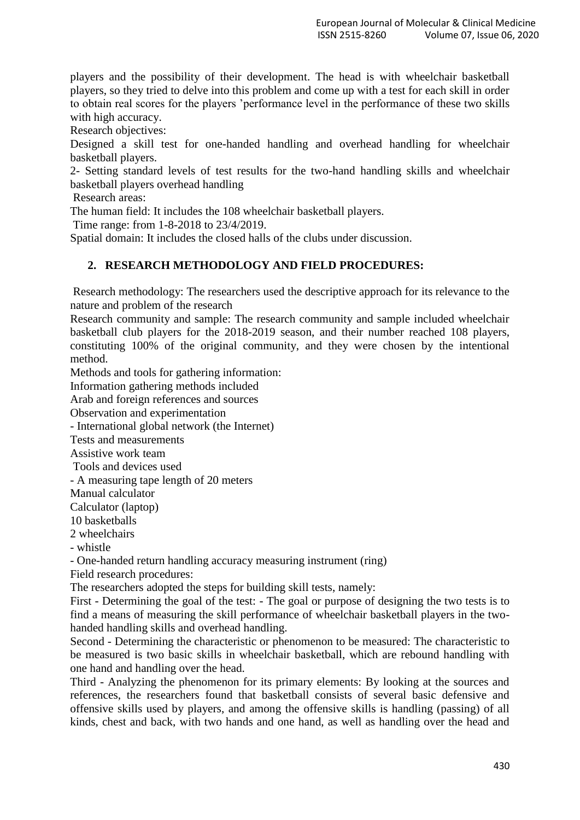players and the possibility of their development. The head is with wheelchair basketball players, so they tried to delve into this problem and come up with a test for each skill in order to obtain real scores for the players 'performance level in the performance of these two skills with high accuracy.

Research objectives:

Designed a skill test for one-handed handling and overhead handling for wheelchair basketball players.

2- Setting standard levels of test results for the two-hand handling skills and wheelchair basketball players overhead handling

Research areas:

The human field: It includes the 108 wheelchair basketball players.

Time range: from 1-8-2018 to 23/4/2019.

Spatial domain: It includes the closed halls of the clubs under discussion.

## **2. RESEARCH METHODOLOGY AND FIELD PROCEDURES:**

Research methodology: The researchers used the descriptive approach for its relevance to the nature and problem of the research

Research community and sample: The research community and sample included wheelchair basketball club players for the 2018-2019 season, and their number reached 108 players, constituting 100% of the original community, and they were chosen by the intentional method.

Methods and tools for gathering information:

Information gathering methods included

Arab and foreign references and sources

Observation and experimentation

- International global network (the Internet)

Tests and measurements

Assistive work team

Tools and devices used

- A measuring tape length of 20 meters

Manual calculator

Calculator (laptop)

10 basketballs

2 wheelchairs

- whistle

- One-handed return handling accuracy measuring instrument (ring)

Field research procedures:

The researchers adopted the steps for building skill tests, namely:

First - Determining the goal of the test: - The goal or purpose of designing the two tests is to find a means of measuring the skill performance of wheelchair basketball players in the twohanded handling skills and overhead handling.

Second - Determining the characteristic or phenomenon to be measured: The characteristic to be measured is two basic skills in wheelchair basketball, which are rebound handling with one hand and handling over the head.

Third - Analyzing the phenomenon for its primary elements: By looking at the sources and references, the researchers found that basketball consists of several basic defensive and offensive skills used by players, and among the offensive skills is handling (passing) of all kinds, chest and back, with two hands and one hand, as well as handling over the head and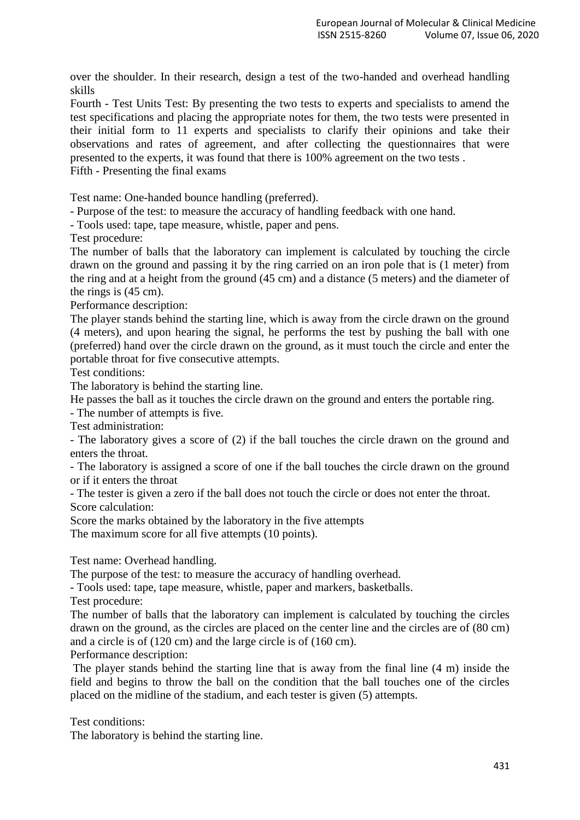over the shoulder. In their research, design a test of the two-handed and overhead handling skills

Fourth - Test Units Test: By presenting the two tests to experts and specialists to amend the test specifications and placing the appropriate notes for them, the two tests were presented in their initial form to 11 experts and specialists to clarify their opinions and take their observations and rates of agreement, and after collecting the questionnaires that were presented to the experts, it was found that there is 100% agreement on the two tests . Fifth - Presenting the final exams

Test name: One-handed bounce handling (preferred).

- Purpose of the test: to measure the accuracy of handling feedback with one hand.

- Tools used: tape, tape measure, whistle, paper and pens.

Test procedure:

The number of balls that the laboratory can implement is calculated by touching the circle drawn on the ground and passing it by the ring carried on an iron pole that is (1 meter) from the ring and at a height from the ground (45 cm) and a distance (5 meters) and the diameter of the rings is (45 cm).

Performance description:

The player stands behind the starting line, which is away from the circle drawn on the ground (4 meters), and upon hearing the signal, he performs the test by pushing the ball with one (preferred) hand over the circle drawn on the ground, as it must touch the circle and enter the portable throat for five consecutive attempts.

Test conditions:

The laboratory is behind the starting line.

He passes the ball as it touches the circle drawn on the ground and enters the portable ring.

- The number of attempts is five.

Test administration:

- The laboratory gives a score of (2) if the ball touches the circle drawn on the ground and enters the throat.

- The laboratory is assigned a score of one if the ball touches the circle drawn on the ground or if it enters the throat

- The tester is given a zero if the ball does not touch the circle or does not enter the throat. Score calculation:

Score the marks obtained by the laboratory in the five attempts

The maximum score for all five attempts (10 points).

Test name: Overhead handling.

The purpose of the test: to measure the accuracy of handling overhead.

- Tools used: tape, tape measure, whistle, paper and markers, basketballs.

Test procedure:

The number of balls that the laboratory can implement is calculated by touching the circles drawn on the ground, as the circles are placed on the center line and the circles are of (80 cm) and a circle is of (120 cm) and the large circle is of (160 cm).

Performance description:

The player stands behind the starting line that is away from the final line (4 m) inside the field and begins to throw the ball on the condition that the ball touches one of the circles placed on the midline of the stadium, and each tester is given (5) attempts.

Test conditions:

The laboratory is behind the starting line.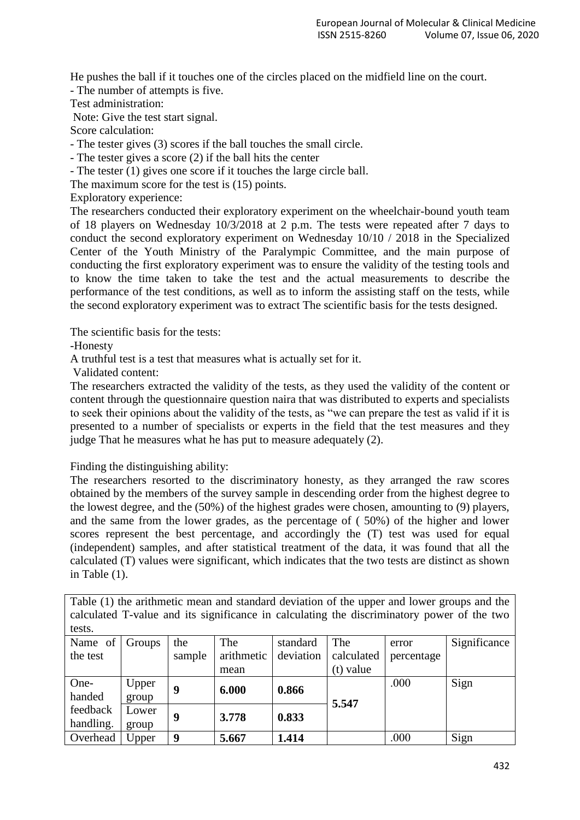He pushes the ball if it touches one of the circles placed on the midfield line on the court.

- The number of attempts is five.

Test administration:

Note: Give the test start signal.

Score calculation:

- The tester gives (3) scores if the ball touches the small circle.

- The tester gives a score (2) if the ball hits the center

- The tester (1) gives one score if it touches the large circle ball.

The maximum score for the test is (15) points.

Exploratory experience:

The researchers conducted their exploratory experiment on the wheelchair-bound youth team of 18 players on Wednesday 10/3/2018 at 2 p.m. The tests were repeated after 7 days to conduct the second exploratory experiment on Wednesday 10/10 / 2018 in the Specialized Center of the Youth Ministry of the Paralympic Committee, and the main purpose of conducting the first exploratory experiment was to ensure the validity of the testing tools and to know the time taken to take the test and the actual measurements to describe the performance of the test conditions, as well as to inform the assisting staff on the tests, while the second exploratory experiment was to extract The scientific basis for the tests designed.

The scientific basis for the tests:

-Honesty

A truthful test is a test that measures what is actually set for it.

Validated content:

The researchers extracted the validity of the tests, as they used the validity of the content or content through the questionnaire question naira that was distributed to experts and specialists to seek their opinions about the validity of the tests, as "we can prepare the test as valid if it is presented to a number of specialists or experts in the field that the test measures and they judge That he measures what he has put to measure adequately (2).

Finding the distinguishing ability:

The researchers resorted to the discriminatory honesty, as they arranged the raw scores obtained by the members of the survey sample in descending order from the highest degree to the lowest degree, and the (50%) of the highest grades were chosen, amounting to (9) players, and the same from the lower grades, as the percentage of ( 50%) of the higher and lower scores represent the best percentage, and accordingly the (T) test was used for equal (independent) samples, and after statistical treatment of the data, it was found that all the calculated (T) values were significant, which indicates that the two tests are distinct as shown in Table (1).

Table (1) the arithmetic mean and standard deviation of the upper and lower groups and the calculated T-value and its significance in calculating the discriminatory power of the two tests.

| Name of   | Groups | the    | The        | standard  | The         | error      | Significance |
|-----------|--------|--------|------------|-----------|-------------|------------|--------------|
| the test  |        | sample | arithmetic | deviation | calculated  | percentage |              |
|           |        |        | mean       |           | $(t)$ value |            |              |
| One-      | Upper  | g      | 6.000      | 0.866     |             | .000       | Sign         |
| handed    | group  |        |            |           | 5.547       |            |              |
| feedback  | Lower  | 9      |            |           |             |            |              |
| handling. | group  |        | 3.778      | 0.833     |             |            |              |
| Overhead  | Upper  | 9      | 5.667      | 1.414     |             | .000       | Sign         |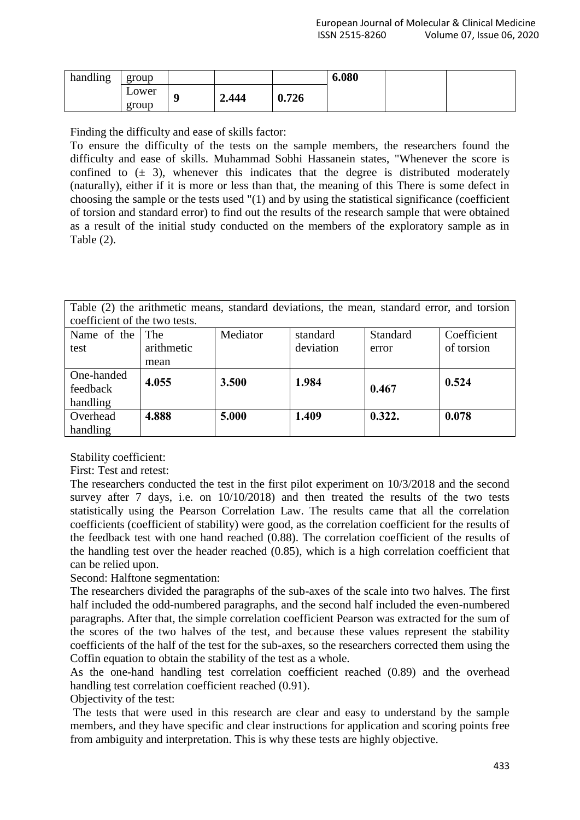| handling | group |   |       |       | 6.080 |  |
|----------|-------|---|-------|-------|-------|--|
|          | Lower | w | 2.444 | 0.726 |       |  |
|          | group |   |       |       |       |  |

Finding the difficulty and ease of skills factor:

To ensure the difficulty of the tests on the sample members, the researchers found the difficulty and ease of skills. Muhammad Sobhi Hassanein states, "Whenever the score is confined to  $(\pm 3)$ , whenever this indicates that the degree is distributed moderately (naturally), either if it is more or less than that, the meaning of this There is some defect in choosing the sample or the tests used "(1) and by using the statistical significance (coefficient of torsion and standard error) to find out the results of the research sample that were obtained as a result of the initial study conducted on the members of the exploratory sample as in Table (2).

| Table (2) the arithmetic means, standard deviations, the mean, standard error, and torsion |  |          |          |  |          |  |                      |
|--------------------------------------------------------------------------------------------|--|----------|----------|--|----------|--|----------------------|
| coefficient of the two tests.                                                              |  |          |          |  |          |  |                      |
| Name of the The                                                                            |  | Mediator | standard |  | Standard |  | $\Gamma$ Coefficient |

| Name of the | The        | Mediator | standard  | Standard | Coefficient |
|-------------|------------|----------|-----------|----------|-------------|
| test        | arithmetic |          | deviation | error    | of torsion  |
|             | mean       |          |           |          |             |
| One-handed  | 4.055      | 3.500    | 1.984     |          | 0.524       |
| feedback    |            |          |           | 0.467    |             |
| handling    |            |          |           |          |             |
| Overhead    | 4.888      | 5.000    | 1.409     | 0.322.   | 0.078       |
| handling    |            |          |           |          |             |

Stability coefficient:

First: Test and retest:

The researchers conducted the test in the first pilot experiment on 10/3/2018 and the second survey after 7 days, i.e. on  $10/10/2018$ ) and then treated the results of the two tests statistically using the Pearson Correlation Law. The results came that all the correlation coefficients (coefficient of stability) were good, as the correlation coefficient for the results of the feedback test with one hand reached (0.88). The correlation coefficient of the results of the handling test over the header reached (0.85), which is a high correlation coefficient that can be relied upon.

Second: Halftone segmentation:

The researchers divided the paragraphs of the sub-axes of the scale into two halves. The first half included the odd-numbered paragraphs, and the second half included the even-numbered paragraphs. After that, the simple correlation coefficient Pearson was extracted for the sum of the scores of the two halves of the test, and because these values represent the stability coefficients of the half of the test for the sub-axes, so the researchers corrected them using the Coffin equation to obtain the stability of the test as a whole.

As the one-hand handling test correlation coefficient reached (0.89) and the overhead handling test correlation coefficient reached (0.91).

Objectivity of the test:

The tests that were used in this research are clear and easy to understand by the sample members, and they have specific and clear instructions for application and scoring points free from ambiguity and interpretation. This is why these tests are highly objective.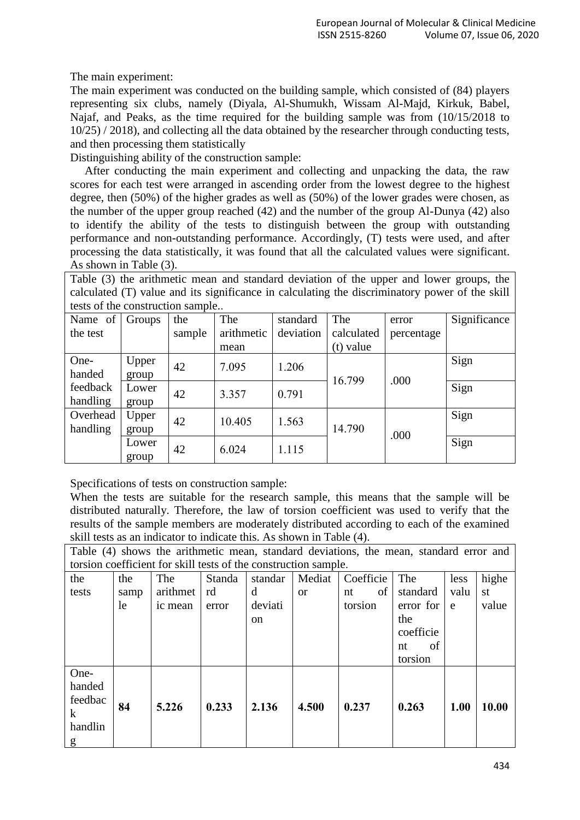The main experiment:

The main experiment was conducted on the building sample, which consisted of (84) players representing six clubs, namely (Diyala, Al-Shumukh, Wissam Al-Majd, Kirkuk, Babel, Najaf, and Peaks, as the time required for the building sample was from (10/15/2018 to 10/25) / 2018), and collecting all the data obtained by the researcher through conducting tests, and then processing them statistically

Distinguishing ability of the construction sample:

 After conducting the main experiment and collecting and unpacking the data, the raw scores for each test were arranged in ascending order from the lowest degree to the highest degree, then (50%) of the higher grades as well as (50%) of the lower grades were chosen, as the number of the upper group reached (42) and the number of the group Al-Dunya (42) also to identify the ability of the tests to distinguish between the group with outstanding performance and non-outstanding performance. Accordingly, (T) tests were used, and after processing the data statistically, it was found that all the calculated values were significant. As shown in Table (3).

Table (3) the arithmetic mean and standard deviation of the upper and lower groups, the calculated (T) value and its significance in calculating the discriminatory power of the skill tests of the construction sample..

| Name of  | Groups | the    | The        | standard  | The         | error      | Significance |
|----------|--------|--------|------------|-----------|-------------|------------|--------------|
| the test |        | sample | arithmetic | deviation | calculated  | percentage |              |
|          |        |        | mean       |           | $(t)$ value |            |              |
| One-     | Upper  | 42     | 7.095      | 1.206     |             |            | Sign         |
| handed   | group  |        |            |           | 16.799      | .000       |              |
| feedback | Lower  | 42     | 3.357      | 0.791     |             |            | Sign         |
| handling | group  |        |            |           |             |            |              |
| Overhead | Upper  | 42     | 10.405     | 1.563     |             |            | Sign         |
| handling | group  |        |            |           | 14.790      | .000       |              |
|          | Lower  | 42     | 6.024      | 1.115     |             |            | Sign         |
|          | group  |        |            |           |             |            |              |

Specifications of tests on construction sample:

When the tests are suitable for the research sample, this means that the sample will be distributed naturally. Therefore, the law of torsion coefficient was used to verify that the results of the sample members are moderately distributed according to each of the examined skill tests as an indicator to indicate this. As shown in Table (4).

Table (4) shows the arithmetic mean, standard deviations, the mean, standard error and torsion coefficient for skill tests of the construction sample.

| the                                                  | the  | The      | Standa | standar | Mediat    | Coefficie | The       | less | highe |
|------------------------------------------------------|------|----------|--------|---------|-----------|-----------|-----------|------|-------|
| tests                                                | samp | arithmet | rd     | d       | <b>or</b> | of<br>nt  | standard  | valu | st    |
|                                                      | le   | ic mean  | error  | deviati |           | torsion   | error for | e    | value |
|                                                      |      |          |        | on      |           |           | the       |      |       |
|                                                      |      |          |        |         |           |           | coefficie |      |       |
|                                                      |      |          |        |         |           |           | of<br>nt  |      |       |
|                                                      |      |          |        |         |           |           | torsion   |      |       |
| One-<br>handed<br>feedbac<br>$\bf k$<br>handlin<br>g | 84   | 5.226    | 0.233  | 2.136   | 4.500     | 0.237     | 0.263     | 1.00 | 10.00 |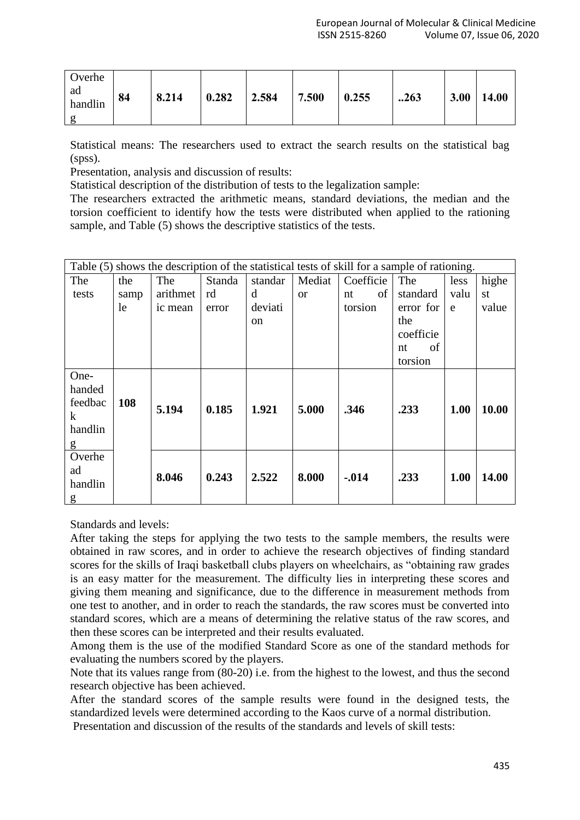| Overhe<br>ad<br>handlin | 84 | 8.214 | 0.282 | 2.584 | 7.500 | 0.255 | .263 | 3.00 | 14.00 |
|-------------------------|----|-------|-------|-------|-------|-------|------|------|-------|
|-------------------------|----|-------|-------|-------|-------|-------|------|------|-------|

Statistical means: The researchers used to extract the search results on the statistical bag (spss).

Presentation, analysis and discussion of results:

Statistical description of the distribution of tests to the legalization sample:

The researchers extracted the arithmetic means, standard deviations, the median and the torsion coefficient to identify how the tests were distributed when applied to the rationing sample, and Table (5) shows the descriptive statistics of the tests.

|         | Table (5) shows the description of the statistical tests of skill for a sample of rationing. |          |        |               |               |           |           |      |              |
|---------|----------------------------------------------------------------------------------------------|----------|--------|---------------|---------------|-----------|-----------|------|--------------|
| The     | the                                                                                          | The      | Standa | standar       | Mediat        | Coefficie | The       | less | highe        |
| tests   | samp                                                                                         | arithmet | rd     | d             | <sub>or</sub> | of<br>nt  | standard  | valu | st           |
|         | le                                                                                           | ic mean  | error  | deviati       |               | torsion   | error for | e    | value        |
|         |                                                                                              |          |        | <sub>on</sub> |               |           | the       |      |              |
|         |                                                                                              |          |        |               |               |           | coefficie |      |              |
|         |                                                                                              |          |        |               |               |           | of<br>nt  |      |              |
|         |                                                                                              |          |        |               |               |           | torsion   |      |              |
| One-    |                                                                                              |          |        |               |               |           |           |      |              |
| handed  |                                                                                              |          |        |               |               |           |           |      |              |
| feedbac | 108                                                                                          | 5.194    | 0.185  | 1.921         | 5.000         | .346      | .233      | 1.00 | <b>10.00</b> |
| k       |                                                                                              |          |        |               |               |           |           |      |              |
| handlin |                                                                                              |          |        |               |               |           |           |      |              |
| g       |                                                                                              |          |        |               |               |           |           |      |              |
| Overhe  |                                                                                              |          |        |               |               |           |           |      |              |
| ad      |                                                                                              | 8.046    | 0.243  | 2.522         | 8.000         | $-0.014$  | .233      | 1.00 | 14.00        |
| handlin |                                                                                              |          |        |               |               |           |           |      |              |
| g       |                                                                                              |          |        |               |               |           |           |      |              |

Standards and levels:

After taking the steps for applying the two tests to the sample members, the results were obtained in raw scores, and in order to achieve the research objectives of finding standard scores for the skills of Iraqi basketball clubs players on wheelchairs, as "obtaining raw grades is an easy matter for the measurement. The difficulty lies in interpreting these scores and giving them meaning and significance, due to the difference in measurement methods from one test to another, and in order to reach the standards, the raw scores must be converted into standard scores, which are a means of determining the relative status of the raw scores, and then these scores can be interpreted and their results evaluated.

Among them is the use of the modified Standard Score as one of the standard methods for evaluating the numbers scored by the players.

Note that its values range from (80-20) i.e. from the highest to the lowest, and thus the second research objective has been achieved.

After the standard scores of the sample results were found in the designed tests, the standardized levels were determined according to the Kaos curve of a normal distribution.

Presentation and discussion of the results of the standards and levels of skill tests: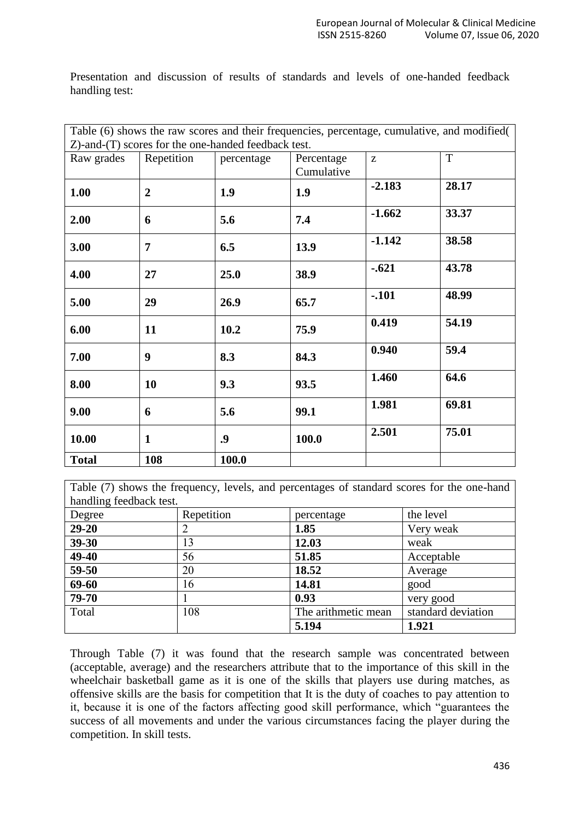Presentation and discussion of results of standards and levels of one-handed feedback handling test:

| Table (6) shows the raw scores and their frequencies, percentage, cumulative, and modified( |                  |                                                     |            |          |       |  |  |  |  |
|---------------------------------------------------------------------------------------------|------------------|-----------------------------------------------------|------------|----------|-------|--|--|--|--|
|                                                                                             |                  | Z)-and-(T) scores for the one-handed feedback test. |            |          |       |  |  |  |  |
| Raw grades                                                                                  | Repetition       | percentage                                          | Percentage | Z        | T     |  |  |  |  |
|                                                                                             |                  |                                                     | Cumulative |          |       |  |  |  |  |
| 1.00                                                                                        | $\overline{2}$   | 1.9                                                 | 1.9        | $-2.183$ | 28.17 |  |  |  |  |
| 2.00                                                                                        | 6                | 5.6                                                 | 7.4        | $-1.662$ | 33.37 |  |  |  |  |
| 3.00                                                                                        | $\overline{7}$   | 6.5                                                 | 13.9       | $-1.142$ | 38.58 |  |  |  |  |
| 4.00                                                                                        | 27               | 25.0                                                | 38.9       | $-.621$  | 43.78 |  |  |  |  |
| 5.00                                                                                        | 29               | 26.9                                                | 65.7       | $-.101$  | 48.99 |  |  |  |  |
| 6.00                                                                                        | 11               | 10.2                                                | 75.9       | 0.419    | 54.19 |  |  |  |  |
| 7.00                                                                                        | $\boldsymbol{9}$ | 8.3                                                 | 84.3       | 0.940    | 59.4  |  |  |  |  |
| 8.00                                                                                        | 10               | 9.3                                                 | 93.5       | 1.460    | 64.6  |  |  |  |  |
| 9.00                                                                                        | 6                | 5.6                                                 | 99.1       | 1.981    | 69.81 |  |  |  |  |
| 10.00                                                                                       | $\mathbf{1}$     | .9                                                  | 100.0      | 2.501    | 75.01 |  |  |  |  |
| <b>Total</b>                                                                                | 108              | 100.0                                               |            |          |       |  |  |  |  |

Table (7) shows the frequency, levels, and percentages of standard scores for the one-hand handling feedback test.

| $\sqrt{2}$<br>Degree | Repetition | percentage          | the level          |
|----------------------|------------|---------------------|--------------------|
| $29 - 20$            |            | 1.85                | Very weak          |
| 39-30                | 13         | 12.03               | weak               |
| 49-40                | 56         | 51.85               | Acceptable         |
| 59-50                | 20         | 18.52               | Average            |
| 69-60                | 16         | 14.81               | good               |
| 79-70                |            | 0.93                | very good          |
| Total                | 108        | The arithmetic mean | standard deviation |
|                      |            | 5.194               | 1.921              |

Through Table (7) it was found that the research sample was concentrated between (acceptable, average) and the researchers attribute that to the importance of this skill in the wheelchair basketball game as it is one of the skills that players use during matches, as offensive skills are the basis for competition that It is the duty of coaches to pay attention to it, because it is one of the factors affecting good skill performance, which "guarantees the success of all movements and under the various circumstances facing the player during the competition. In skill tests.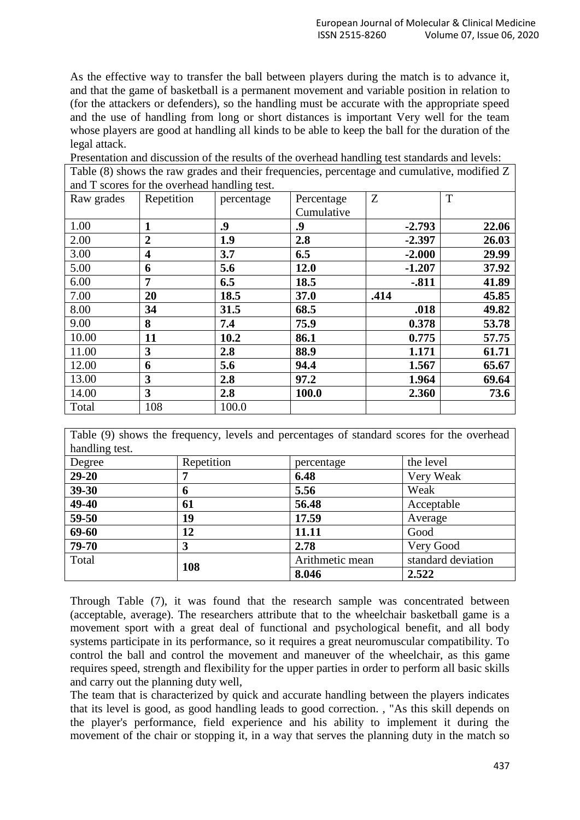As the effective way to transfer the ball between players during the match is to advance it, and that the game of basketball is a permanent movement and variable position in relation to (for the attackers or defenders), so the handling must be accurate with the appropriate speed and the use of handling from long or short distances is important Very well for the team whose players are good at handling all kinds to be able to keep the ball for the duration of the legal attack.

Presentation and discussion of the results of the overhead handling test standards and levels:

Table (8) shows the raw grades and their frequencies, percentage and cumulative, modified Z and T scores for the overhead handling test.

| Raw grades | Repetition     | percentage | Percentage | Z        | T     |
|------------|----------------|------------|------------|----------|-------|
|            |                |            | Cumulative |          |       |
| 1.00       | 1              | .9         | .9         | $-2.793$ | 22.06 |
| 2.00       | $\overline{2}$ | 1.9        | 2.8        | $-2.397$ | 26.03 |
| 3.00       | 4              | 3.7        | 6.5        | $-2.000$ | 29.99 |
| 5.00       | 6              | 5.6        | 12.0       | $-1.207$ | 37.92 |
| 6.00       | 7              | 6.5        | 18.5       | $-0.811$ | 41.89 |
| 7.00       | 20             | 18.5       | 37.0       | .414     | 45.85 |
| 8.00       | 34             | 31.5       | 68.5       | .018     | 49.82 |
| 9.00       | 8              | 7.4        | 75.9       | 0.378    | 53.78 |
| 10.00      | 11             | 10.2       | 86.1       | 0.775    | 57.75 |
| 11.00      | 3              | 2.8        | 88.9       | 1.171    | 61.71 |
| 12.00      | 6              | 5.6        | 94.4       | 1.567    | 65.67 |
| 13.00      | 3              | 2.8        | 97.2       | 1.964    | 69.64 |
| 14.00      | 3              | 2.8        | 100.0      | 2.360    | 73.6  |
| Total      | 108            | 100.0      |            |          |       |

Table (9) shows the frequency, levels and percentages of standard scores for the overhead handling test.

| nandling test. |            |                 |                    |
|----------------|------------|-----------------|--------------------|
| Degree         | Repetition | percentage      | the level          |
| $29 - 20$      |            | 6.48            | Very Weak          |
| 39-30          | 6          | 5.56            | Weak               |
| 49-40          | 61         | 56.48           | Acceptable         |
| 59-50          | 19         | 17.59           | Average            |
| 69-60          | 12         | 11.11           | Good               |
| 79-70          | 3          | 2.78            | Very Good          |
| Total          | 108        | Arithmetic mean | standard deviation |
|                |            | 8.046           | 2.522              |

Through Table (7), it was found that the research sample was concentrated between (acceptable, average). The researchers attribute that to the wheelchair basketball game is a movement sport with a great deal of functional and psychological benefit, and all body systems participate in its performance, so it requires a great neuromuscular compatibility. To control the ball and control the movement and maneuver of the wheelchair, as this game requires speed, strength and flexibility for the upper parties in order to perform all basic skills and carry out the planning duty well,

The team that is characterized by quick and accurate handling between the players indicates that its level is good, as good handling leads to good correction. , "As this skill depends on the player's performance, field experience and his ability to implement it during the movement of the chair or stopping it, in a way that serves the planning duty in the match so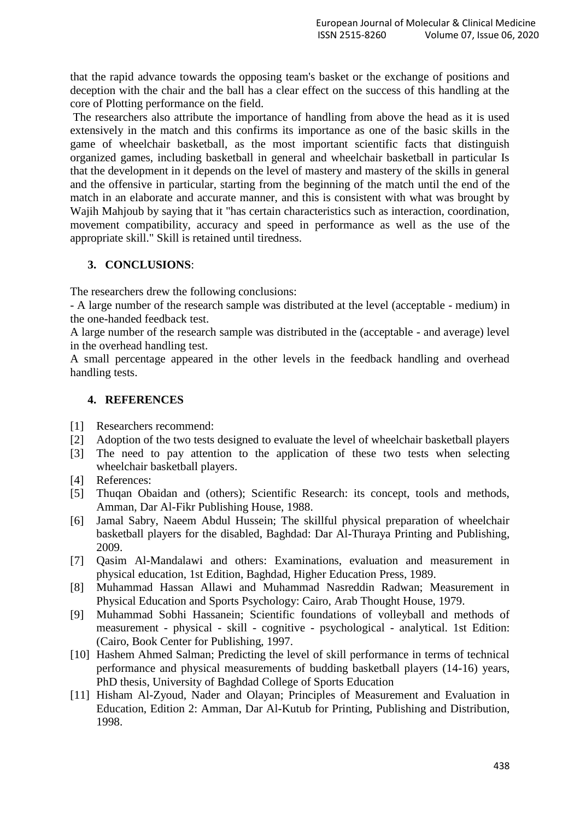that the rapid advance towards the opposing team's basket or the exchange of positions and deception with the chair and the ball has a clear effect on the success of this handling at the core of Plotting performance on the field.

The researchers also attribute the importance of handling from above the head as it is used extensively in the match and this confirms its importance as one of the basic skills in the game of wheelchair basketball, as the most important scientific facts that distinguish organized games, including basketball in general and wheelchair basketball in particular Is that the development in it depends on the level of mastery and mastery of the skills in general and the offensive in particular, starting from the beginning of the match until the end of the match in an elaborate and accurate manner, and this is consistent with what was brought by Wajih Mahjoub by saying that it "has certain characteristics such as interaction, coordination, movement compatibility, accuracy and speed in performance as well as the use of the appropriate skill." Skill is retained until tiredness.

## **3. CONCLUSIONS**:

The researchers drew the following conclusions:

- A large number of the research sample was distributed at the level (acceptable - medium) in the one-handed feedback test.

A large number of the research sample was distributed in the (acceptable - and average) level in the overhead handling test.

A small percentage appeared in the other levels in the feedback handling and overhead handling tests.

#### **4. REFERENCES**

- [1] Researchers recommend:
- [2] Adoption of the two tests designed to evaluate the level of wheelchair basketball players
- [3] The need to pay attention to the application of these two tests when selecting wheelchair basketball players.
- [4] References:
- [5] Thuqan Obaidan and (others); Scientific Research: its concept, tools and methods, Amman, Dar Al-Fikr Publishing House, 1988.
- [6] Jamal Sabry, Naeem Abdul Hussein; The skillful physical preparation of wheelchair basketball players for the disabled, Baghdad: Dar Al-Thuraya Printing and Publishing, 2009.
- [7] Qasim Al-Mandalawi and others: Examinations, evaluation and measurement in physical education, 1st Edition, Baghdad, Higher Education Press, 1989.
- [8] Muhammad Hassan Allawi and Muhammad Nasreddin Radwan; Measurement in Physical Education and Sports Psychology: Cairo, Arab Thought House, 1979.
- [9] Muhammad Sobhi Hassanein; Scientific foundations of volleyball and methods of measurement - physical - skill - cognitive - psychological - analytical. 1st Edition: (Cairo, Book Center for Publishing, 1997.
- [10] Hashem Ahmed Salman; Predicting the level of skill performance in terms of technical performance and physical measurements of budding basketball players (14-16) years, PhD thesis, University of Baghdad College of Sports Education
- [11] Hisham Al-Zyoud, Nader and Olayan; Principles of Measurement and Evaluation in Education, Edition 2: Amman, Dar Al-Kutub for Printing, Publishing and Distribution, 1998.